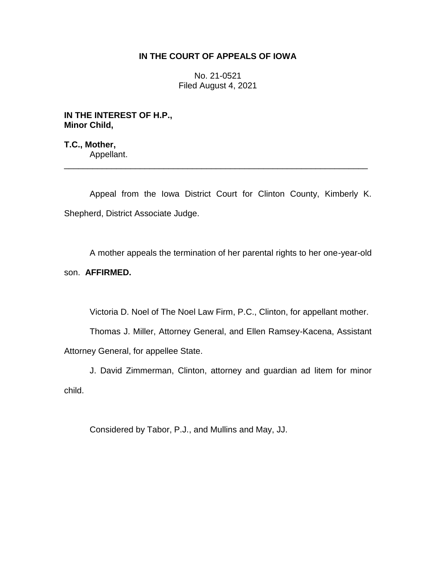# **IN THE COURT OF APPEALS OF IOWA**

No. 21-0521 Filed August 4, 2021

**IN THE INTEREST OF H.P., Minor Child,**

**T.C., Mother,** Appellant.

Appeal from the Iowa District Court for Clinton County, Kimberly K. Shepherd, District Associate Judge.

\_\_\_\_\_\_\_\_\_\_\_\_\_\_\_\_\_\_\_\_\_\_\_\_\_\_\_\_\_\_\_\_\_\_\_\_\_\_\_\_\_\_\_\_\_\_\_\_\_\_\_\_\_\_\_\_\_\_\_\_\_\_\_\_

A mother appeals the termination of her parental rights to her one-year-old

## son. **AFFIRMED.**

Victoria D. Noel of The Noel Law Firm, P.C., Clinton, for appellant mother.

Thomas J. Miller, Attorney General, and Ellen Ramsey-Kacena, Assistant Attorney General, for appellee State.

J. David Zimmerman, Clinton, attorney and guardian ad litem for minor child.

Considered by Tabor, P.J., and Mullins and May, JJ.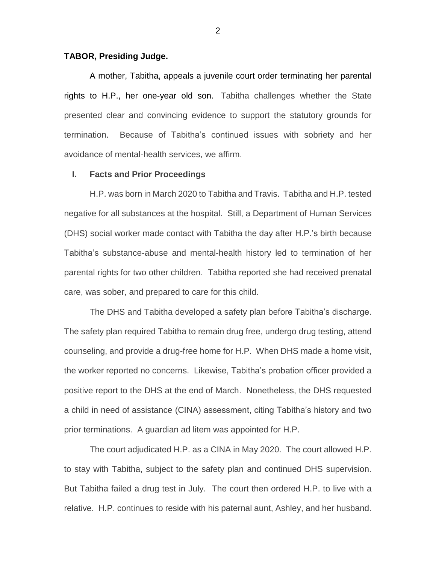### **TABOR, Presiding Judge.**

A mother, Tabitha, appeals a juvenile court order terminating her parental rights to H.P., her one-year old son. Tabitha challenges whether the State presented clear and convincing evidence to support the statutory grounds for termination. Because of Tabitha's continued issues with sobriety and her avoidance of mental-health services, we affirm.

#### **I. Facts and Prior Proceedings**

H.P. was born in March 2020 to Tabitha and Travis. Tabitha and H.P. tested negative for all substances at the hospital. Still, a Department of Human Services (DHS) social worker made contact with Tabitha the day after H.P.'s birth because Tabitha's substance-abuse and mental-health history led to termination of her parental rights for two other children. Tabitha reported she had received prenatal care, was sober, and prepared to care for this child.

The DHS and Tabitha developed a safety plan before Tabitha's discharge. The safety plan required Tabitha to remain drug free, undergo drug testing, attend counseling, and provide a drug-free home for H.P. When DHS made a home visit, the worker reported no concerns. Likewise, Tabitha's probation officer provided a positive report to the DHS at the end of March. Nonetheless, the DHS requested a child in need of assistance (CINA) assessment, citing Tabitha's history and two prior terminations. A guardian ad litem was appointed for H.P.

The court adjudicated H.P. as a CINA in May 2020. The court allowed H.P. to stay with Tabitha, subject to the safety plan and continued DHS supervision. But Tabitha failed a drug test in July. The court then ordered H.P. to live with a relative. H.P. continues to reside with his paternal aunt, Ashley, and her husband.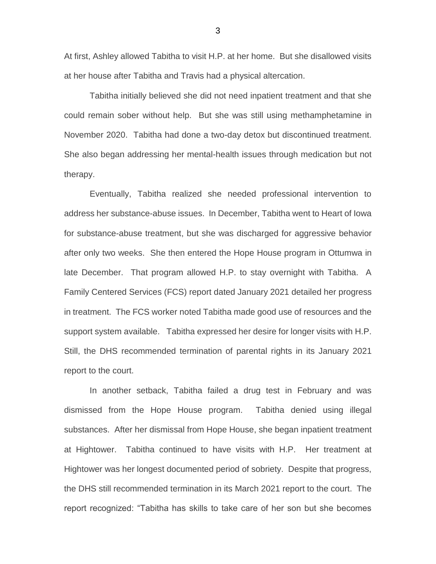At first, Ashley allowed Tabitha to visit H.P. at her home. But she disallowed visits at her house after Tabitha and Travis had a physical altercation.

Tabitha initially believed she did not need inpatient treatment and that she could remain sober without help. But she was still using methamphetamine in November 2020. Tabitha had done a two-day detox but discontinued treatment. She also began addressing her mental-health issues through medication but not therapy.

Eventually, Tabitha realized she needed professional intervention to address her substance-abuse issues. In December, Tabitha went to Heart of Iowa for substance-abuse treatment, but she was discharged for aggressive behavior after only two weeks. She then entered the Hope House program in Ottumwa in late December. That program allowed H.P. to stay overnight with Tabitha. A Family Centered Services (FCS) report dated January 2021 detailed her progress in treatment. The FCS worker noted Tabitha made good use of resources and the support system available. Tabitha expressed her desire for longer visits with H.P. Still, the DHS recommended termination of parental rights in its January 2021 report to the court.

In another setback, Tabitha failed a drug test in February and was dismissed from the Hope House program. Tabitha denied using illegal substances. After her dismissal from Hope House, she began inpatient treatment at Hightower. Tabitha continued to have visits with H.P. Her treatment at Hightower was her longest documented period of sobriety. Despite that progress, the DHS still recommended termination in its March 2021 report to the court. The report recognized: "Tabitha has skills to take care of her son but she becomes

3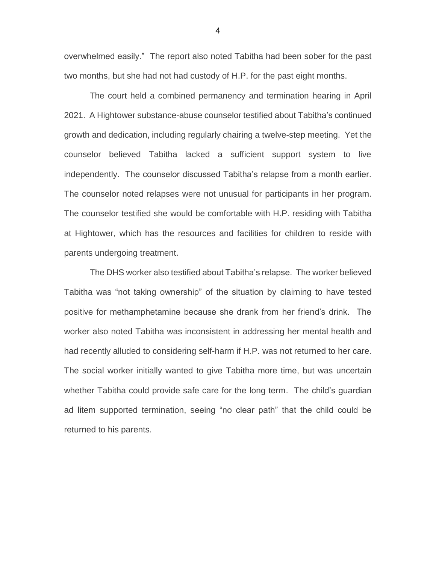overwhelmed easily." The report also noted Tabitha had been sober for the past two months, but she had not had custody of H.P. for the past eight months.

The court held a combined permanency and termination hearing in April 2021. A Hightower substance-abuse counselor testified about Tabitha's continued growth and dedication, including regularly chairing a twelve-step meeting. Yet the counselor believed Tabitha lacked a sufficient support system to live independently. The counselor discussed Tabitha's relapse from a month earlier. The counselor noted relapses were not unusual for participants in her program. The counselor testified she would be comfortable with H.P. residing with Tabitha at Hightower, which has the resources and facilities for children to reside with parents undergoing treatment.

The DHS worker also testified about Tabitha's relapse. The worker believed Tabitha was "not taking ownership" of the situation by claiming to have tested positive for methamphetamine because she drank from her friend's drink. The worker also noted Tabitha was inconsistent in addressing her mental health and had recently alluded to considering self-harm if H.P. was not returned to her care. The social worker initially wanted to give Tabitha more time, but was uncertain whether Tabitha could provide safe care for the long term. The child's guardian ad litem supported termination, seeing "no clear path" that the child could be returned to his parents.

4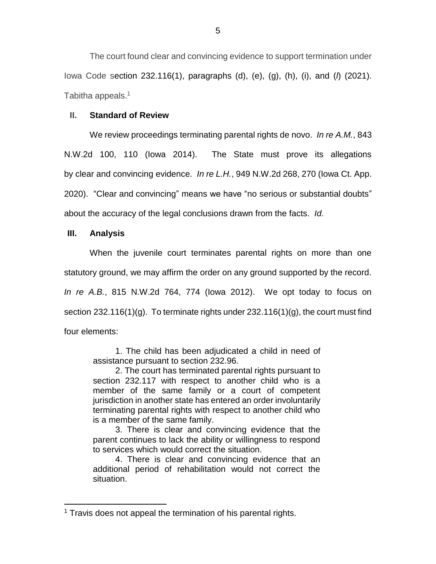The court found clear and convincing evidence to support termination under Iowa Code section 232.116(1), paragraphs (d), (e), (g), (h), (i), and (*l*) (2021). Tabitha appeals.<sup>1</sup>

## **II. Standard of Review**

We review proceedings terminating parental rights de novo. *In re A.M.*, 843 N.W.2d 100, 110 (Iowa 2014). The State must prove its allegations by clear and convincing evidence. *In re L.H.*, 949 N.W.2d 268, 270 (Iowa Ct. App. 2020). "Clear and convincing" means we have "no serious or substantial doubts" about the accuracy of the legal conclusions drawn from the facts. *Id.*

## **III. Analysis**

 $\overline{a}$ 

When the juvenile court terminates parental rights on more than one statutory ground, we may affirm the order on any ground supported by the record. *In re A.B.*, 815 N.W.2d 764, 774 (Iowa 2012). We opt today to focus on section 232.116(1)(g). To terminate rights under  $232.116(1)(g)$ , the court must find four elements:

1. The child has been adjudicated a child in need of assistance pursuant to section 232.96.

2. The court has terminated parental rights pursuant to section 232.117 with respect to another child who is a member of the same family or a court of competent jurisdiction in another state has entered an order involuntarily terminating parental rights with respect to another child who is a member of the same family.

3. There is clear and convincing evidence that the parent continues to lack the ability or willingness to respond to services which would correct the situation.

4. There is clear and convincing evidence that an additional period of rehabilitation would not correct the situation.

<sup>&</sup>lt;sup>1</sup> Travis does not appeal the termination of his parental rights.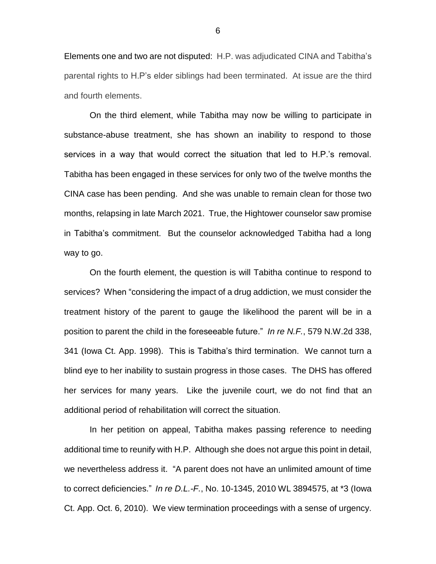Elements one and two are not disputed: H.P. was adjudicated CINA and Tabitha's parental rights to H.P's elder siblings had been terminated. At issue are the third and fourth elements.

On the third element, while Tabitha may now be willing to participate in substance-abuse treatment, she has shown an inability to respond to those services in a way that would correct the situation that led to H.P.'s removal. Tabitha has been engaged in these services for only two of the twelve months the CINA case has been pending. And she was unable to remain clean for those two months, relapsing in late March 2021. True, the Hightower counselor saw promise in Tabitha's commitment. But the counselor acknowledged Tabitha had a long way to go.

On the fourth element, the question is will Tabitha continue to respond to services? When "considering the impact of a drug addiction, we must consider the treatment history of the parent to gauge the likelihood the parent will be in a position to parent the child in the foreseeable future." *In re N.F.*, 579 N.W.2d 338, 341 (Iowa Ct. App. 1998). This is Tabitha's third termination. We cannot turn a blind eye to her inability to sustain progress in those cases. The DHS has offered her services for many years. Like the juvenile court, we do not find that an additional period of rehabilitation will correct the situation.

In her petition on appeal, Tabitha makes passing reference to needing additional time to reunify with H.P. Although she does not argue this point in detail, we nevertheless address it. "A parent does not have an unlimited amount of time to correct deficiencies." *In re D.L.-F.*, No. 10-1345, 2010 WL 3894575, at \*3 (Iowa Ct. App. Oct. 6, 2010). We view termination proceedings with a sense of urgency.

6